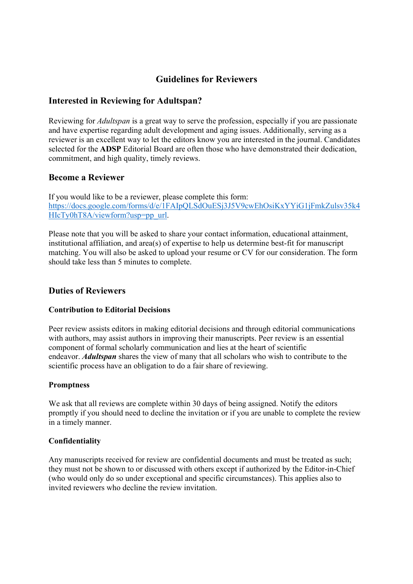# Guidelines for Reviewers

## Interested in Reviewing for Adultspan?

Reviewing for Adultspan is a great way to serve the profession, especially if you are passionate and have expertise regarding adult development and aging issues. Additionally, serving as a reviewer is an excellent way to let the editors know you are interested in the journal. Candidates selected for the **ADSP** Editorial Board are often those who have demonstrated their dedication, commitment, and high quality, timely reviews.

### Become a Reviewer

If you would like to be a reviewer, please complete this form: https://docs.google.com/forms/d/e/1FAIpQLSdOuESj3J5V9cwEhOsiKxYYiG1jFmkZulsv35k4 HIcTy0hT8A/viewform?usp=pp\_url.

Please note that you will be asked to share your contact information, educational attainment, institutional affiliation, and area(s) of expertise to help us determine best-fit for manuscript matching. You will also be asked to upload your resume or CV for our consideration. The form should take less than 5 minutes to complete.

### Duties of Reviewers

#### Contribution to Editorial Decisions

Peer review assists editors in making editorial decisions and through editorial communications with authors, may assist authors in improving their manuscripts. Peer review is an essential component of formal scholarly communication and lies at the heart of scientific endeavor. Adultspan shares the view of many that all scholars who wish to contribute to the scientific process have an obligation to do a fair share of reviewing.

#### Promptness

We ask that all reviews are complete within 30 days of being assigned. Notify the editors promptly if you should need to decline the invitation or if you are unable to complete the review in a timely manner.

#### Confidentiality

Any manuscripts received for review are confidential documents and must be treated as such; they must not be shown to or discussed with others except if authorized by the Editor-in-Chief (who would only do so under exceptional and specific circumstances). This applies also to invited reviewers who decline the review invitation.